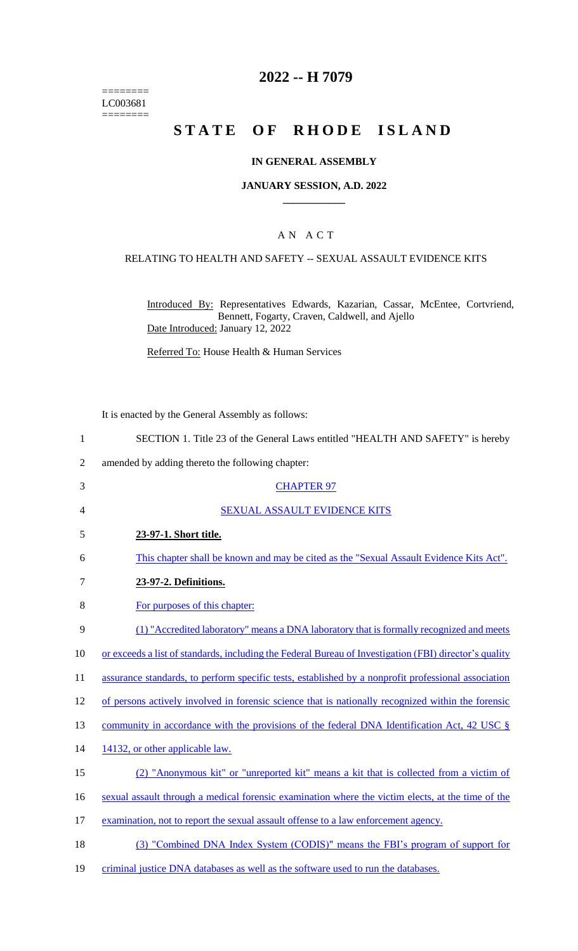======== LC003681  $=$ 

# **2022 -- H 7079**

# **STATE OF RHODE ISLAND**

### **IN GENERAL ASSEMBLY**

#### **JANUARY SESSION, A.D. 2022 \_\_\_\_\_\_\_\_\_\_\_\_**

#### A N A C T

#### RELATING TO HEALTH AND SAFETY -- SEXUAL ASSAULT EVIDENCE KITS

Introduced By: Representatives Edwards, Kazarian, Cassar, McEntee, Cortvriend, Bennett, Fogarty, Craven, Caldwell, and Ajello Date Introduced: January 12, 2022

Referred To: House Health & Human Services

It is enacted by the General Assembly as follows:

| $\mathbf{1}$   | SECTION 1. Title 23 of the General Laws entitled "HEALTH AND SAFETY" is hereby                         |
|----------------|--------------------------------------------------------------------------------------------------------|
| $\overline{2}$ | amended by adding thereto the following chapter:                                                       |
| 3              | <b>CHAPTER 97</b>                                                                                      |
| 4              | <b>SEXUAL ASSAULT EVIDENCE KITS</b>                                                                    |
| 5              | 23-97-1. Short title.                                                                                  |
| 6              | This chapter shall be known and may be cited as the "Sexual Assault Evidence Kits Act".                |
| 7              | 23-97-2. Definitions.                                                                                  |
| 8              | For purposes of this chapter:                                                                          |
| 9              | (1) "Accredited laboratory" means a DNA laboratory that is formally recognized and meets               |
| 10             | or exceeds a list of standards, including the Federal Bureau of Investigation (FBI) director's quality |
| 11             | assurance standards, to perform specific tests, established by a nonprofit professional association    |
| 12             | of persons actively involved in forensic science that is nationally recognized within the forensic     |
| 13             | community in accordance with the provisions of the federal DNA Identification Act, 42 USC $\S$         |
| 14             | 14132, or other applicable law.                                                                        |
| 15             | (2) "Anonymous kit" or "unreported kit" means a kit that is collected from a victim of                 |
| 16             | sexual assault through a medical forensic examination where the victim elects, at the time of the      |
| 17             | examination, not to report the sexual assault offense to a law enforcement agency.                     |
| 18             | (3) "Combined DNA Index System (CODIS)" means the FBI's program of support for                         |
| 19             | criminal justice DNA databases as well as the software used to run the databases.                      |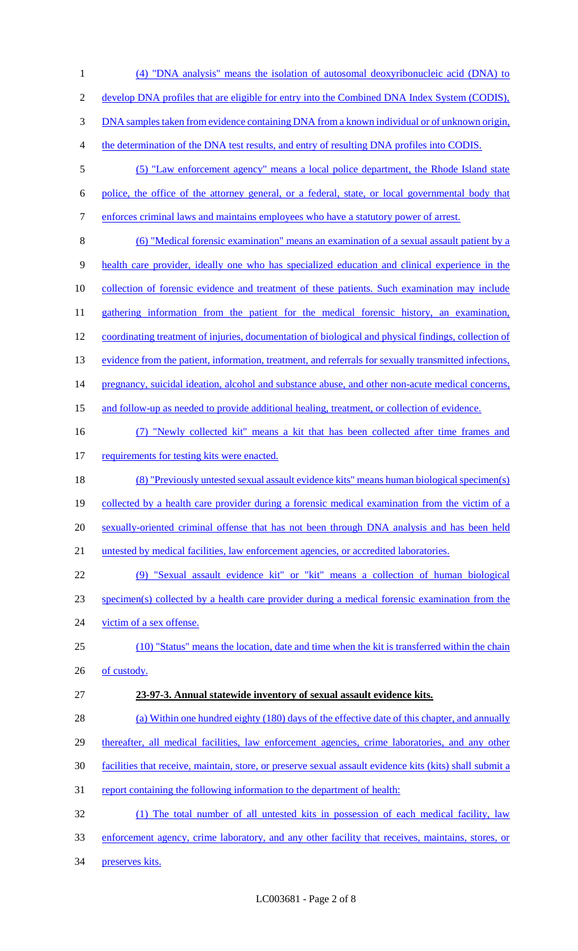(4) "DNA analysis" means the isolation of autosomal deoxyribonucleic acid (DNA) to develop DNA profiles that are eligible for entry into the Combined DNA Index System (CODIS), DNA samples taken from evidence containing DNA from a known individual or of unknown origin, the determination of the DNA test results, and entry of resulting DNA profiles into CODIS. (5) "Law enforcement agency" means a local police department, the Rhode Island state police, the office of the attorney general, or a federal, state, or local governmental body that enforces criminal laws and maintains employees who have a statutory power of arrest. (6) "Medical forensic examination" means an examination of a sexual assault patient by a health care provider, ideally one who has specialized education and clinical experience in the collection of forensic evidence and treatment of these patients. Such examination may include 11 gathering information from the patient for the medical forensic history, an examination, coordinating treatment of injuries, documentation of biological and physical findings, collection of 13 evidence from the patient, information, treatment, and referrals for sexually transmitted infections, 14 pregnancy, suicidal ideation, alcohol and substance abuse, and other non-acute medical concerns, and follow-up as needed to provide additional healing, treatment, or collection of evidence. (7) "Newly collected kit" means a kit that has been collected after time frames and 17 requirements for testing kits were enacted. (8) "Previously untested sexual assault evidence kits" means human biological specimen(s) collected by a health care provider during a forensic medical examination from the victim of a 20 sexually-oriented criminal offense that has not been through DNA analysis and has been held untested by medical facilities, law enforcement agencies, or accredited laboratories. (9) "Sexual assault evidence kit" or "kit" means a collection of human biological specimen(s) collected by a health care provider during a medical forensic examination from the 24 victim of a sex offense. (10) "Status" means the location, date and time when the kit is transferred within the chain 26 of custody. **23-97-3. Annual statewide inventory of sexual assault evidence kits.**  28 (a) Within one hundred eighty (180) days of the effective date of this chapter, and annually 29 thereafter, all medical facilities, law enforcement agencies, crime laboratories, and any other facilities that receive, maintain, store, or preserve sexual assault evidence kits (kits) shall submit a 31 report containing the following information to the department of health: (1) The total number of all untested kits in possession of each medical facility, law enforcement agency, crime laboratory, and any other facility that receives, maintains, stores, or preserves kits.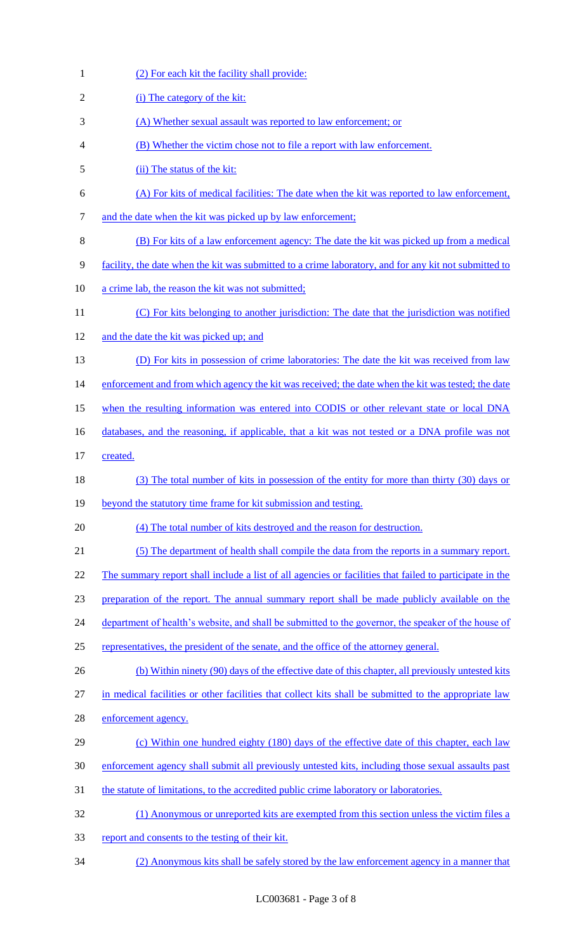| $\mathbf{1}$   | (2) For each kit the facility shall provide:                                                            |
|----------------|---------------------------------------------------------------------------------------------------------|
| $\overline{2}$ | (i) The category of the kit:                                                                            |
| 3              | (A) Whether sexual assault was reported to law enforcement; or                                          |
| 4              | (B) Whether the victim chose not to file a report with law enforcement.                                 |
| 5              | (ii) The status of the kit:                                                                             |
| 6              | (A) For kits of medical facilities: The date when the kit was reported to law enforcement,              |
| 7              | and the date when the kit was picked up by law enforcement;                                             |
| 8              | (B) For kits of a law enforcement agency: The date the kit was picked up from a medical                 |
| 9              | facility, the date when the kit was submitted to a crime laboratory, and for any kit not submitted to   |
| 10             | a crime lab, the reason the kit was not submitted;                                                      |
| 11             | (C) For kits belonging to another jurisdiction: The date that the jurisdiction was notified             |
| 12             | and the date the kit was picked up; and                                                                 |
| 13             | (D) For kits in possession of crime laboratories: The date the kit was received from law                |
| 14             | enforcement and from which agency the kit was received; the date when the kit was tested; the date      |
| 15             | when the resulting information was entered into CODIS or other relevant state or local DNA              |
| 16             | databases, and the reasoning, if applicable, that a kit was not tested or a DNA profile was not         |
| 17             | created.                                                                                                |
| 18             | (3) The total number of kits in possession of the entity for more than thirty (30) days or              |
| 19             | beyond the statutory time frame for kit submission and testing.                                         |
| 20             | (4) The total number of kits destroyed and the reason for destruction.                                  |
| 21             | (5) The department of health shall compile the data from the reports in a summary report.               |
| 22             | The summary report shall include a list of all agencies or facilities that failed to participate in the |
| 23             | preparation of the report. The annual summary report shall be made publicly available on the            |
| 24             | department of health's website, and shall be submitted to the governor, the speaker of the house of     |
| 25             | representatives, the president of the senate, and the office of the attorney general.                   |
| 26             | (b) Within ninety (90) days of the effective date of this chapter, all previously untested kits         |
| 27             | in medical facilities or other facilities that collect kits shall be submitted to the appropriate law   |
| 28             | enforcement agency.                                                                                     |
| 29             | (c) Within one hundred eighty (180) days of the effective date of this chapter, each law                |
| 30             | enforcement agency shall submit all previously untested kits, including those sexual assaults past      |
| 31             | the statute of limitations, to the accredited public crime laboratory or laboratories.                  |
| 32             | (1) Anonymous or unreported kits are exempted from this section unless the victim files a               |
| 33             | report and consents to the testing of their kit.                                                        |
| 34             | (2) Anonymous kits shall be safely stored by the law enforcement agency in a manner that                |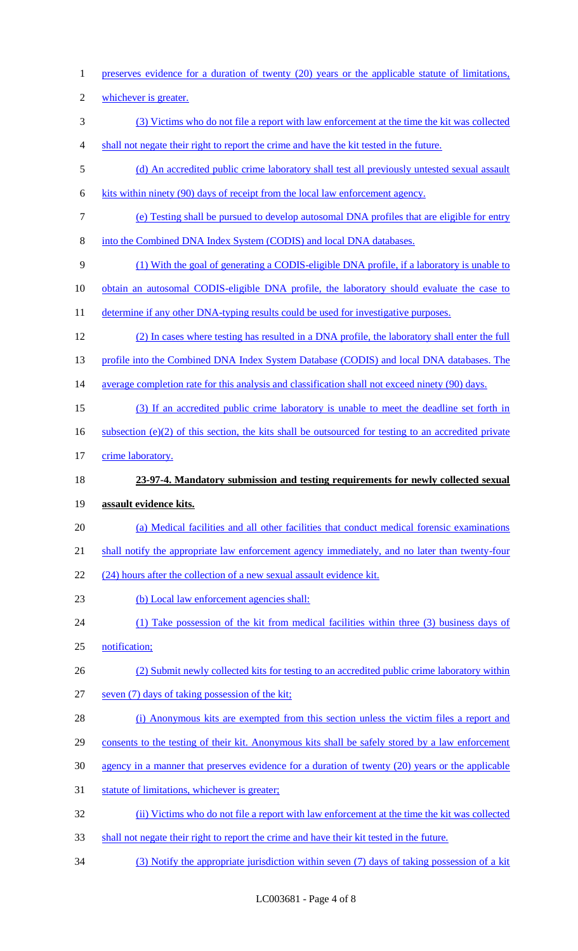preserves evidence for a duration of twenty (20) years or the applicable statute of limitations, whichever is greater. (3) Victims who do not file a report with law enforcement at the time the kit was collected shall not negate their right to report the crime and have the kit tested in the future. (d) An accredited public crime laboratory shall test all previously untested sexual assault kits within ninety (90) days of receipt from the local law enforcement agency. (e) Testing shall be pursued to develop autosomal DNA profiles that are eligible for entry 8 into the Combined DNA Index System (CODIS) and local DNA databases. (1) With the goal of generating a CODIS-eligible DNA profile, if a laboratory is unable to 10 obtain an autosomal CODIS-eligible DNA profile, the laboratory should evaluate the case to 11 determine if any other DNA-typing results could be used for investigative purposes. (2) In cases where testing has resulted in a DNA profile, the laboratory shall enter the full 13 profile into the Combined DNA Index System Database (CODIS) and local DNA databases. The average completion rate for this analysis and classification shall not exceed ninety (90) days. (3) If an accredited public crime laboratory is unable to meet the deadline set forth in 16 subsection (e)(2) of this section, the kits shall be outsourced for testing to an accredited private 17 crime laboratory. **23-97-4. Mandatory submission and testing requirements for newly collected sexual assault evidence kits.**  (a) Medical facilities and all other facilities that conduct medical forensic examinations 21 shall notify the appropriate law enforcement agency immediately, and no later than twenty-four 22 (24) hours after the collection of a new sexual assault evidence kit. (b) Local law enforcement agencies shall: (1) Take possession of the kit from medical facilities within three (3) business days of notification; (2) Submit newly collected kits for testing to an accredited public crime laboratory within seven (7) days of taking possession of the kit; (i) Anonymous kits are exempted from this section unless the victim files a report and 29 consents to the testing of their kit. Anonymous kits shall be safely stored by a law enforcement agency in a manner that preserves evidence for a duration of twenty (20) years or the applicable statute of limitations, whichever is greater; (ii) Victims who do not file a report with law enforcement at the time the kit was collected shall not negate their right to report the crime and have their kit tested in the future.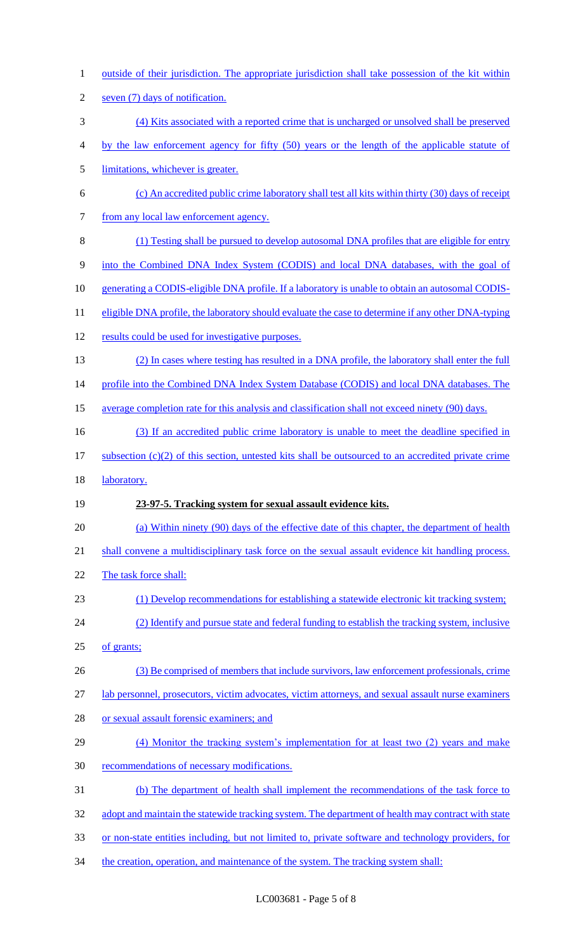1 outside of their jurisdiction. The appropriate jurisdiction shall take possession of the kit within seven (7) days of notification. (4) Kits associated with a reported crime that is uncharged or unsolved shall be preserved by the law enforcement agency for fifty (50) years or the length of the applicable statute of limitations, whichever is greater. (c) An accredited public crime laboratory shall test all kits within thirty (30) days of receipt 7 from any local law enforcement agency. (1) Testing shall be pursued to develop autosomal DNA profiles that are eligible for entry into the Combined DNA Index System (CODIS) and local DNA databases, with the goal of 10 generating a CODIS-eligible DNA profile. If a laboratory is unable to obtain an autosomal CODIS-11 eligible DNA profile, the laboratory should evaluate the case to determine if any other DNA-typing results could be used for investigative purposes. (2) In cases where testing has resulted in a DNA profile, the laboratory shall enter the full 14 profile into the Combined DNA Index System Database (CODIS) and local DNA databases. The average completion rate for this analysis and classification shall not exceed ninety (90) days. 16 (3) If an accredited public crime laboratory is unable to meet the deadline specified in subsection (c)(2) of this section, untested kits shall be outsourced to an accredited private crime laboratory. **23-97-5. Tracking system for sexual assault evidence kits.**  (a) Within ninety (90) days of the effective date of this chapter, the department of health 21 shall convene a multidisciplinary task force on the sexual assault evidence kit handling process. The task force shall: (1) Develop recommendations for establishing a statewide electronic kit tracking system; (2) Identify and pursue state and federal funding to establish the tracking system, inclusive of grants; (3) Be comprised of members that include survivors, law enforcement professionals, crime lab personnel, prosecutors, victim advocates, victim attorneys, and sexual assault nurse examiners or sexual assault forensic examiners; and 29 (4) Monitor the tracking system's implementation for at least two (2) years and make recommendations of necessary modifications. (b) The department of health shall implement the recommendations of the task force to 32 adopt and maintain the statewide tracking system. The department of health may contract with state or non-state entities including, but not limited to, private software and technology providers, for 34 the creation, operation, and maintenance of the system. The tracking system shall: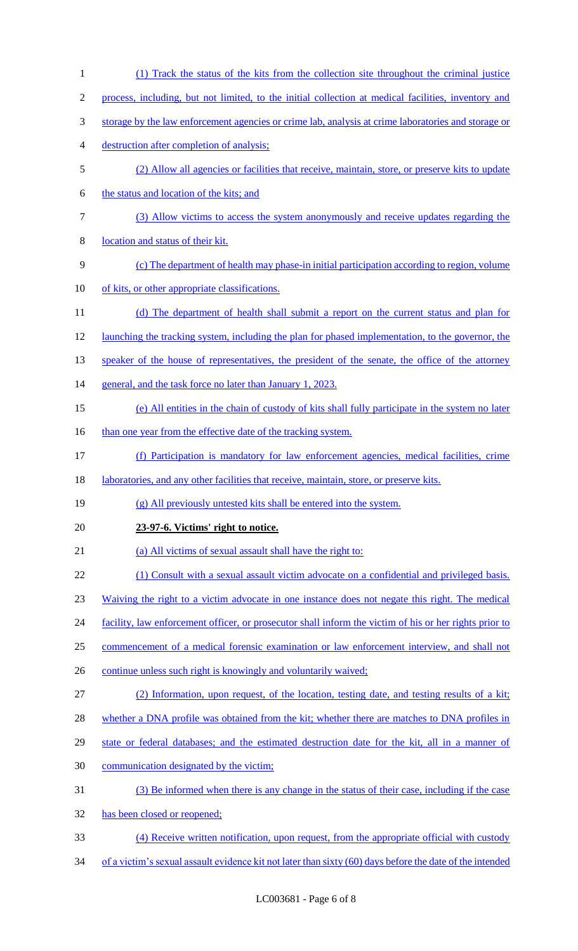(1) Track the status of the kits from the collection site throughout the criminal justice process, including, but not limited, to the initial collection at medical facilities, inventory and storage by the law enforcement agencies or crime lab, analysis at crime laboratories and storage or destruction after completion of analysis; (2) Allow all agencies or facilities that receive, maintain, store, or preserve kits to update the status and location of the kits; and (3) Allow victims to access the system anonymously and receive updates regarding the location and status of their kit. (c) The department of health may phase-in initial participation according to region, volume of kits, or other appropriate classifications. (d) The department of health shall submit a report on the current status and plan for launching the tracking system, including the plan for phased implementation, to the governor, the 13 speaker of the house of representatives, the president of the senate, the office of the attorney 14 general, and the task force no later than January 1, 2023. (e) All entities in the chain of custody of kits shall fully participate in the system no later 16 than one year from the effective date of the tracking system. (f) Participation is mandatory for law enforcement agencies, medical facilities, crime 18 laboratories, and any other facilities that receive, maintain, store, or preserve kits. (g) All previously untested kits shall be entered into the system. **23-97-6. Victims' right to notice.**  (a) All victims of sexual assault shall have the right to: (1) Consult with a sexual assault victim advocate on a confidential and privileged basis. Waiving the right to a victim advocate in one instance does not negate this right. The medical 24 facility, law enforcement officer, or prosecutor shall inform the victim of his or her rights prior to commencement of a medical forensic examination or law enforcement interview, and shall not 26 continue unless such right is knowingly and voluntarily waived; (2) Information, upon request, of the location, testing date, and testing results of a kit; 28 whether a DNA profile was obtained from the kit; whether there are matches to DNA profiles in state or federal databases; and the estimated destruction date for the kit, all in a manner of communication designated by the victim; (3) Be informed when there is any change in the status of their case, including if the case has been closed or reopened; (4) Receive written notification, upon request, from the appropriate official with custody 34 of a victim's sexual assault evidence kit not later than sixty (60) days before the date of the intended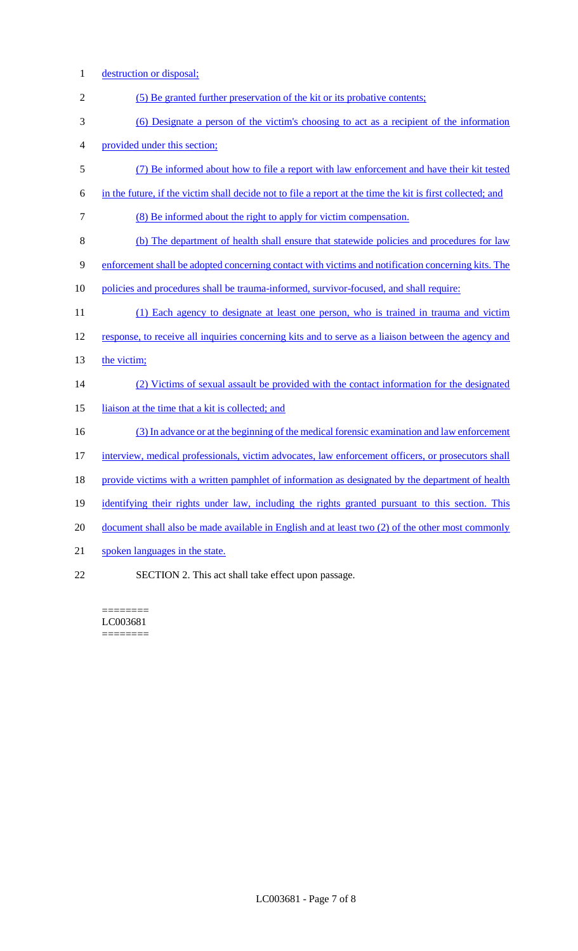- 1 destruction or disposal;
- 2 (5) Be granted further preservation of the kit or its probative contents;
- 3 (6) Designate a person of the victim's choosing to act as a recipient of the information
- 4 provided under this section;
- 5 (7) Be informed about how to file a report with law enforcement and have their kit tested
- 6 in the future, if the victim shall decide not to file a report at the time the kit is first collected; and
- 7 (8) Be informed about the right to apply for victim compensation.
- 8 (b) The department of health shall ensure that statewide policies and procedures for law
- 9 enforcement shall be adopted concerning contact with victims and notification concerning kits. The
- 10 policies and procedures shall be trauma-informed, survivor-focused, and shall require:
- 11 (1) Each agency to designate at least one person, who is trained in trauma and victim
- 12 response, to receive all inquiries concerning kits and to serve as a liaison between the agency and
- 13 the victim;

### 14 (2) Victims of sexual assault be provided with the contact information for the designated

- 15 liaison at the time that a kit is collected; and
- 16 (3) In advance or at the beginning of the medical forensic examination and law enforcement
- 17 interview, medical professionals, victim advocates, law enforcement officers, or prosecutors shall
- 18 provide victims with a written pamphlet of information as designated by the department of health
- 19 identifying their rights under law, including the rights granted pursuant to this section. This
- 20 document shall also be made available in English and at least two (2) of the other most commonly
- 21 spoken languages in the state.
- 22 SECTION 2. This act shall take effect upon passage.

======== LC003681 ========